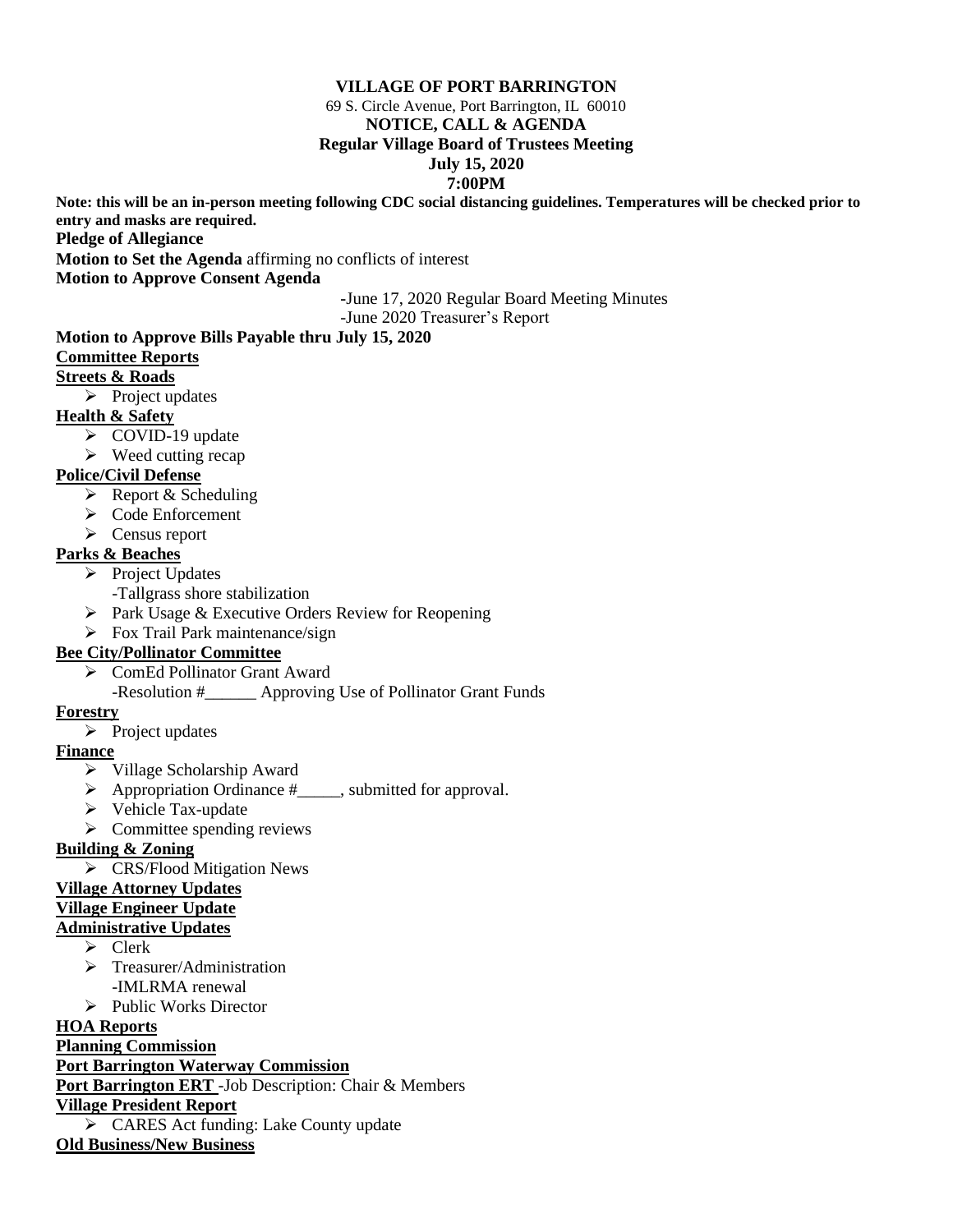#### **VILLAGE OF PORT BARRINGTON**

69 S. Circle Avenue, Port Barrington, IL 60010

#### **NOTICE, CALL & AGENDA**

#### **Regular Village Board of Trustees Meeting**

### **July 15, 2020**

#### **7:00PM**

**Note: this will be an in-person meeting following CDC social distancing guidelines. Temperatures will be checked prior to entry and masks are required.**

**Pledge of Allegiance**

**Motion to Set the Agenda** affirming no conflicts of interest

**Motion to Approve Consent Agenda**

**-**June 17, 2020 Regular Board Meeting Minutes -June 2020 Treasurer's Report

# **Motion to Approve Bills Payable thru July 15, 2020**

#### **Committee Reports**

### **Streets & Roads**

➢ Project updates

## **Health & Safety**

- ➢ COVID-19 update
- $\triangleright$  Weed cutting recap

## **Police/Civil Defense**

- ➢ Report & Scheduling
- ➢ Code Enforcement
- ➢ Census report

## **Parks & Beaches**

- ➢ Project Updates
	- -Tallgrass shore stabilization
- ➢ Park Usage & Executive Orders Review for Reopening
- ➢ Fox Trail Park maintenance/sign

## **Bee City/Pollinator Committee**

- ➢ ComEd Pollinator Grant Award
	- -Resolution #\_\_\_\_\_\_ Approving Use of Pollinator Grant Funds

#### **Forestry**

➢ Project updates

## **Finance**

- ➢ Village Scholarship Award
- ➢ Appropriation Ordinance #\_\_\_\_\_, submitted for approval.
- ➢ Vehicle Tax-update
- $\triangleright$  Committee spending reviews

## **Building & Zoning**

➢ CRS/Flood Mitigation News

## **Village Attorney Updates**

#### **Village Engineer Update**

## **Administrative Updates**

- ➢ Clerk
- ➢ Treasurer/Administration -IMLRMA renewal
- ➢ Public Works Director

## **HOA Reports**

## **Planning Commission**

**Port Barrington Waterway Commission**

**Port Barrington ERT** -Job Description: Chair & Members

## **Village President Report**

➢ CARES Act funding: Lake County update

**Old Business/New Business**